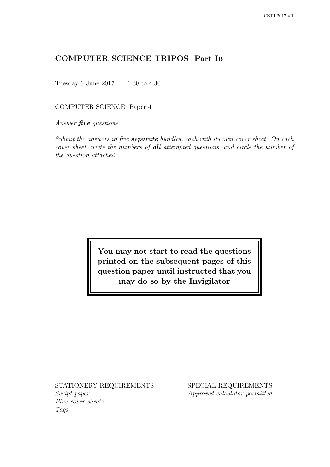# COMPUTER SCIENCE TRIPOS Part IB

Tuesday 6 June 2017 1.30 to 4.30

COMPUTER SCIENCE Paper 4

Answer *five* questions.

Submit the answers in five **separate** bundles, each with its own cover sheet. On each cover sheet, write the numbers of **all** attempted questions, and circle the number of the question attached.

> You may not start to read the questions printed on the subsequent pages of this question paper until instructed that you may do so by the Invigilator

STATIONERY REQUIREMENTS Script paper Blue cover sheets

Tags

SPECIAL REQUIREMENTS Approved calculator permitted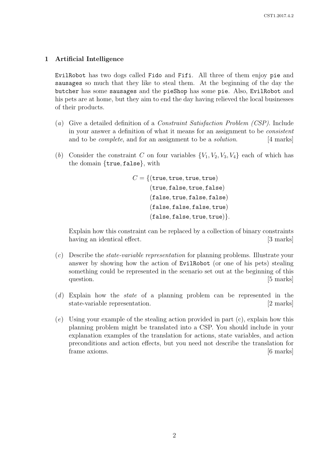## 1 Artificial Intelligence

EvilRobot has two dogs called Fido and Fifi. All three of them enjoy pie and sausages so much that they like to steal them. At the beginning of the day the butcher has some sausages and the pieShop has some pie. Also, EvilRobot and his pets are at home, but they aim to end the day having relieved the local businesses of their products.

- (a) Give a detailed definition of a Constraint Satisfaction Problem (CSP). Include in your answer a definition of what it means for an assignment to be consistent and to be *complete*, and for an assignment to be a *solution*. [4 marks]
- (b) Consider the constraint C on four variables  $\{V_1, V_2, V_3, V_4\}$  each of which has the domain {true, false}, with

```
C = \{(true, true, true, true)\}(true, false, true, false)
      (false, true, false, false)
      (false, false, false, true)
      (false, false, true, true)}.
```
Explain how this constraint can be replaced by a collection of binary constraints having an identical effect. [3 marks]

- (c) Describe the state-variable representation for planning problems. Illustrate your answer by showing how the action of EvilRobot (or one of his pets) stealing something could be represented in the scenario set out at the beginning of this question. [5 marks]
- (d) Explain how the state of a planning problem can be represented in the state-variable representation. [2 marks]
- $(e)$  Using your example of the stealing action provided in part  $(c)$ , explain how this planning problem might be translated into a CSP. You should include in your explanation examples of the translation for actions, state variables, and action preconditions and action effects, but you need not describe the translation for frame axioms. [6 marks]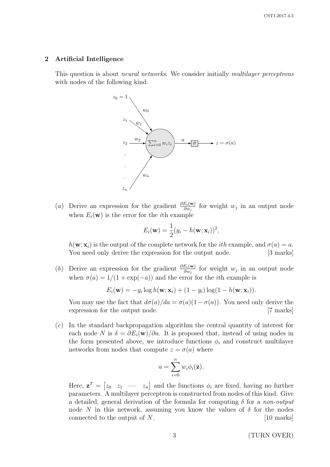#### 2 Artificial Intelligence

This question is about *neural networks*. We consider initially *multilayer perceptrons* with nodes of the following kind.



(a) Derive an expression for the gradient  $\frac{\partial E_i(w)}{\partial w_j}$  for weight w<sub>j</sub> in an output node when  $E_i(\mathbf{w})$  is the error for the *i*th example

$$
E_i(\mathbf{w}) = \frac{1}{2}(y_i - h(\mathbf{w}; \mathbf{x}_i))^2,
$$

 $h(\mathbf{w}; \mathbf{x}_i)$  is the output of the complete network for the *ith* example, and  $\sigma(a) = a$ . You need only derive the expression for the output node. [3 marks]

(b) Derive an expression for the gradient  $\frac{\partial E_i(w)}{\partial w_j}$  for weight w<sub>j</sub> in an output node when  $\sigma(a) = 1/(1 + \exp(-a))$  and the error for the *i*th example is

 $E_i(\mathbf{w}) = -y_i \log h(\mathbf{w}; \mathbf{x}_i) + (1 - y_i) \log(1 - h(\mathbf{w}; \mathbf{x}_i)).$ 

You may use the fact that  $d\sigma(a)/da = \sigma(a)(1-\sigma(a))$ . You need only derive the expression for the output node. [7 marks]

(c) In the standard backpropagation algorithm the central quantity of interest for each node N is  $\delta = \partial E_i(\mathbf{w})/\partial a$ . It is proposed that, instead of using nodes in the form presented above, we introduce functions  $\phi_i$  and construct multilayer networks from nodes that compute  $z = \sigma(a)$  where

$$
a=\sum_{i=0}^n w_i \phi_i(\mathbf{z}).
$$

Here,  $\mathbf{z}^T = \begin{bmatrix} z_0 & z_1 & \cdots & z_n \end{bmatrix}$  and the functions  $\phi_i$  are fixed, having no further parameters. A multilayer perceptron is constructed from nodes of this kind. Give a detailed, general derivation of the formula for computing  $\delta$  for a non-output node N in this network, assuming you know the values of  $\delta$  for the nodes connected to the output of  $N$ . [10 marks]

3 (TURN OVER)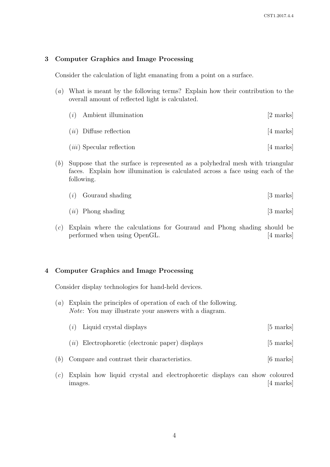## 3 Computer Graphics and Image Processing

Consider the calculation of light emanating from a point on a surface.

- (a) What is meant by the following terms? Explain how their contribution to the overall amount of reflected light is calculated.
	- $(i)$  Ambient illumination [2 marks]  $(ii)$  Diffuse reflection [4 marks]  $(iii)$  Specular reflection [4 marks]
- (b) Suppose that the surface is represented as a polyhedral mesh with triangular faces. Explain how illumination is calculated across a face using each of the following.
	- $(i)$  Gouraud shading [3 marks]
	- $(ii)$  Phong shading  $[3 \text{ marks}]$
- (c) Explain where the calculations for Gouraud and Phong shading should be performed when using OpenGL. [4 marks]

### 4 Computer Graphics and Image Processing

Consider display technologies for hand-held devices.

(a) Explain the principles of operation of each of the following. Note: You may illustrate your answers with a diagram.

| $(i)$ Liquid crystal displays | $[5 \text{ marks}]$ |  |
|-------------------------------|---------------------|--|
|-------------------------------|---------------------|--|

- $(ii)$  Electrophoretic (electronic paper) displays [5 marks]
- (b) Compare and contrast their characteristics. [6 marks]
- (c) Explain how liquid crystal and electrophoretic displays can show coloured images. [4 marks]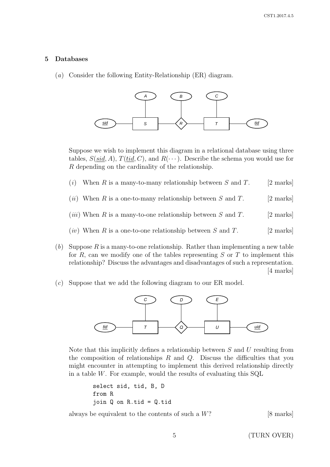#### 5 Databases

(a) Consider the following Entity-Relationship (ER) diagram.



Suppose we wish to implement this diagram in a relational database using three tables,  $S(\text{sid}, A), T(\text{tid}, C)$ , and  $R(\cdots)$ . Describe the schema you would use for R depending on the cardinality of the relationship.

| (i) | When R is a many-to-many relationship between S and T.               | [2 marks] |
|-----|----------------------------------------------------------------------|-----------|
|     | ( <i>ii</i> ) When R is a one-to-many relationship between S and T.  | [2 marks] |
|     | ( <i>iii</i> ) When R is a many-to-one relationship between S and T. | [2 marks] |

- $(iv)$  When R is a one-to-one relationship between S and T. [2 marks]
- (b) Suppose R is a many-to-one relationship. Rather than implementing a new table for  $R$ , can we modify one of the tables representing  $S$  or  $T$  to implement this relationship? Discuss the advantages and disadvantages of such a representation. [4 marks]
- (c) Suppose that we add the following diagram to our ER model.



Note that this implicitly defines a relationship between S and U resulting from the composition of relationships  $R$  and  $Q$ . Discuss the difficulties that you might encounter in attempting to implement this derived relationship directly in a table  $W$ . For example, would the results of evaluating this  $SQL$ 

```
select sid, tid, B, D
from R
join Q on R.tid = Q.tid
```
always be equivalent to the contents of such a  $W$ ? [8 marks]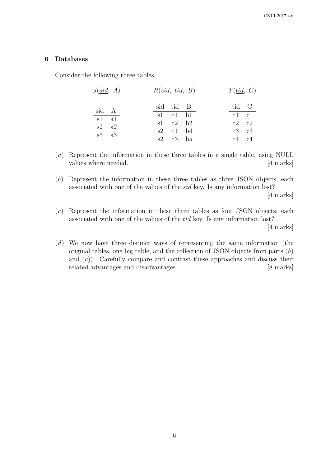### 6 Databases

Consider the following three tables.

| $S(\underline{sid}, A)$ | R(sid, tid, B) | T(tid, C)        |
|-------------------------|----------------|------------------|
| sid A                   | sid tid B      | tid C            |
| s1 a1                   | $sl$ t1 b1     | $t1 \quad c1$    |
| $s2 \text{ a}2$         | $s1$ $t2$ $b2$ | $t2 \quad c2$    |
| $s3 \text{ a}3$         | $s2$ t1 b4     | $t3 \text{ } c3$ |
|                         | $s2$ $t3$ $b5$ | $t4$ $c4$        |
|                         |                |                  |

(a) Represent the information in these three tables in a single table, using NULL values where needed. [4 marks]

(b) Represent the information in these three tables as three JSON objects, each associated with one of the values of the sid key. Is any information lost?

[4 marks]

- $(c)$  Represent the information in these three tables as four JSON objects, each associated with one of the values of the tid key. Is any information lost? [4 marks]
- (d) We now have three distinct ways of representing the same information (the original tables, one big table, and the collection of JSON objects from parts (b) and  $(c)$ ). Carefully compare and contrast these approaches and discuss their related advantages and disadvantages. [8 marks]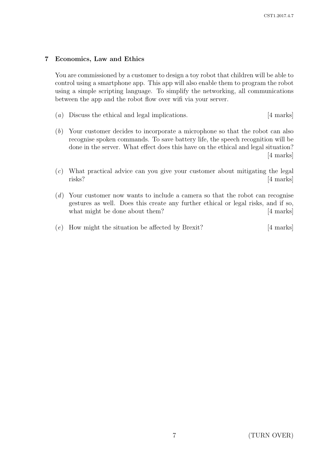## 7 Economics, Law and Ethics

You are commissioned by a customer to design a toy robot that children will be able to control using a smartphone app. This app will also enable them to program the robot using a simple scripting language. To simplify the networking, all communications between the app and the robot flow over wifi via your server.

- (a) Discuss the ethical and legal implications. [4 marks]
- (b) Your customer decides to incorporate a microphone so that the robot can also recognise spoken commands. To save battery life, the speech recognition will be done in the server. What effect does this have on the ethical and legal situation? [4 marks]
- (c) What practical advice can you give your customer about mitigating the legal risks? [4 marks]
- (d) Your customer now wants to include a camera so that the robot can recognise gestures as well. Does this create any further ethical or legal risks, and if so, what might be done about them? [4 marks]
- $(e)$  How might the situation be affected by Brexit? [4 marks]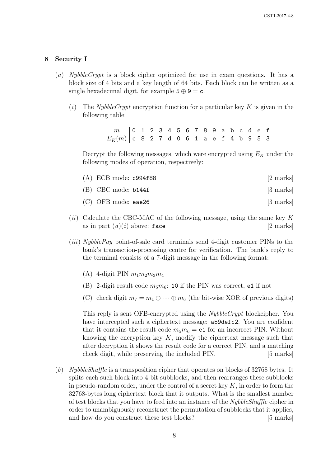#### 8 Security I

- (a) NybbleCrypt is a block cipher optimized for use in exam questions. It has a block size of 4 bits and a key length of 64 bits. Each block can be written as a single hexadecimal digit, for example  $5 \oplus 9 = c$ .
	- (i) The NybbleCrypt encryption function for a particular key K is given in the following table:

| $m$ 0123456789abcdef                       |  |  |  |  |  |  |  |  |
|--------------------------------------------|--|--|--|--|--|--|--|--|
| $E_K(m)$   c 8 2 7 d 0 6 1 a e f 4 b 9 5 3 |  |  |  |  |  |  |  |  |

Decrypt the following messages, which were encrypted using  $E_K$  under the following modes of operation, respectively:

- (A) ECB mode:  $c994f88$  [2 marks]  $(B)$  CBC mode: b144f [3 marks] (C) OFB mode: eae26 [3 marks]
- (ii) Calculate the CBC-MAC of the following message, using the same key  $K$ as in part  $(a)(i)$  above: face [2 marks]
- (*iii*) NybblePay point-of-sale card terminals send 4-digit customer PINs to the bank's transaction-processing centre for verification. The bank's reply to the terminal consists of a 7-digit message in the following format:
	- (A) 4-digit PIN  $m_1 m_2 m_3 m_4$
	- (B) 2-digit result code  $m_5m_6$ : 10 if the PIN was correct, e1 if not
	- (C) check digit  $m_7 = m_1 \oplus \cdots \oplus m_6$  (the bit-wise XOR of previous digits)

This reply is sent OFB-encrypted using the NybbleCrypt blockcipher. You have intercepted such a ciphertext message: a59defc2. You are confident that it contains the result code  $m_5m_6 = e1$  for an incorrect PIN. Without knowing the encryption key  $K$ , modify the ciphertext message such that after decryption it shows the result code for a correct PIN, and a matching check digit, while preserving the included PIN. [5 marks]

(b) NybbleShuffle is a transposition cipher that operates on blocks of 32768 bytes. It splits each such block into 4-bit subblocks, and then rearranges these subblocks in pseudo-random order, under the control of a secret key  $K$ , in order to form the 32768-bytes long ciphertext block that it outputs. What is the smallest number of test blocks that you have to feed into an instance of the NybbleShuffle cipher in order to unambiguously reconstruct the permutation of subblocks that it applies, and how do you construct these test blocks? [5 marks]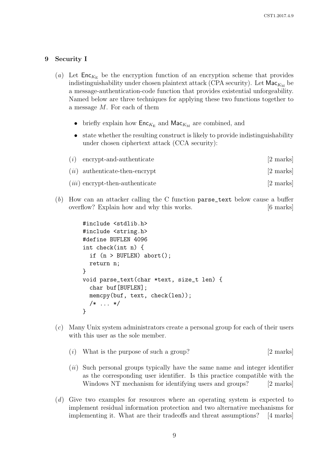## 9 Security I

- (a) Let  $\mathsf{Enc}_{K_{\mathbb{R}}}$  be the encryption function of an encryption scheme that provides indistinguishability under chosen plaintext attack (CPA security). Let  $\mathsf{Mac}_{K_M}$  be a message-authentication-code function that provides existential unforgeability. Named below are three techniques for applying these two functions together to a message M. For each of them
	- briefly explain how  $\mathsf{Enc}_{K_{\mathrm{E}}}$  and  $\mathsf{Mac}_{K_{\mathrm{M}}}$  are combined, and
	- state whether the resulting construct is likely to provide indistinguishability under chosen ciphertext attack (CCA security):
	- $(i)$  encrypt-and-authenticate [2 marks]
	- (*ii*) authenticate-then-encrypt [2 marks]
	- (*iii*) encrypt-then-authenticate [2 marks]
- (b) How can an attacker calling the C function parse\_text below cause a buffer overflow? Explain how and why this works. [6 marks]

```
#include <stdlib.h>
#include <string.h>
#define BUFLEN 4096
int check(int n) {
  if (n > BUFLEN) abort();
  return n;
}
void parse_text(char *text, size_t len) {
  char buf[BUFLEN];
  memcpy(buf, text, check(len));
  /* ... */
}
```
- (c) Many Unix system administrators create a personal group for each of their users with this user as the sole member.
	- $(i)$  What is the purpose of such a group? [2 marks]
	- (*ii*) Such personal groups typically have the same name and integer identifier as the corresponding user identifier. Is this practice compatible with the Windows NT mechanism for identifying users and groups? [2 marks]
- (d) Give two examples for resources where an operating system is expected to implement residual information protection and two alternative mechanisms for implementing it. What are their tradeoffs and threat assumptions? [4 marks]